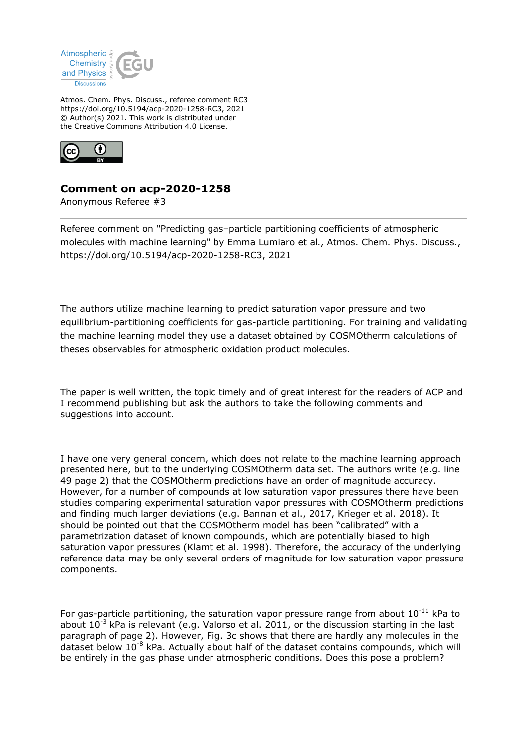

Atmos. Chem. Phys. Discuss., referee comment RC3 https://doi.org/10.5194/acp-2020-1258-RC3, 2021 © Author(s) 2021. This work is distributed under the Creative Commons Attribution 4.0 License.



## **Comment on acp-2020-1258**

Anonymous Referee #3

Referee comment on "Predicting gas–particle partitioning coefficients of atmospheric molecules with machine learning" by Emma Lumiaro et al., Atmos. Chem. Phys. Discuss., https://doi.org/10.5194/acp-2020-1258-RC3, 2021

The authors utilize machine learning to predict saturation vapor pressure and two equilibrium-partitioning coefficients for gas-particle partitioning. For training and validating the machine learning model they use a dataset obtained by COSMOtherm calculations of theses observables for atmospheric oxidation product molecules.

The paper is well written, the topic timely and of great interest for the readers of ACP and I recommend publishing but ask the authors to take the following comments and suggestions into account.

I have one very general concern, which does not relate to the machine learning approach presented here, but to the underlying COSMOtherm data set. The authors write (e.g. line 49 page 2) that the COSMOtherm predictions have an order of magnitude accuracy. However, for a number of compounds at low saturation vapor pressures there have been studies comparing experimental saturation vapor pressures with COSMOtherm predictions and finding much larger deviations (e.g. Bannan et al., 2017, Krieger et al. 2018). It should be pointed out that the COSMOtherm model has been "calibrated" with a parametrization dataset of known compounds, which are potentially biased to high saturation vapor pressures (Klamt et al. 1998). Therefore, the accuracy of the underlying reference data may be only several orders of magnitude for low saturation vapor pressure components.

For gas-particle partitioning, the saturation vapor pressure range from about  $10^{-11}$  kPa to about  $10^{-3}$  kPa is relevant (e.g. Valorso et al. 2011, or the discussion starting in the last paragraph of page 2). However, Fig. 3c shows that there are hardly any molecules in the dataset below 10-8 kPa. Actually about half of the dataset contains compounds, which will be entirely in the gas phase under atmospheric conditions. Does this pose a problem?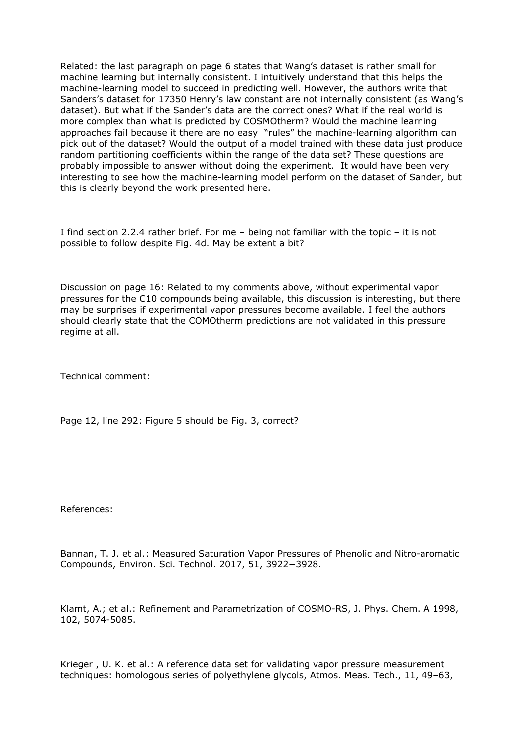Related: the last paragraph on page 6 states that Wang's dataset is rather small for machine learning but internally consistent. I intuitively understand that this helps the machine-learning model to succeed in predicting well. However, the authors write that Sanders's dataset for 17350 Henry's law constant are not internally consistent (as Wang's dataset). But what if the Sander's data are the correct ones? What if the real world is more complex than what is predicted by COSMOtherm? Would the machine learning approaches fail because it there are no easy "rules" the machine-learning algorithm can pick out of the dataset? Would the output of a model trained with these data just produce random partitioning coefficients within the range of the data set? These questions are probably impossible to answer without doing the experiment. It would have been very interesting to see how the machine-learning model perform on the dataset of Sander, but this is clearly beyond the work presented here.

I find section 2.2.4 rather brief. For me – being not familiar with the topic – it is not possible to follow despite Fig. 4d. May be extent a bit?

Discussion on page 16: Related to my comments above, without experimental vapor pressures for the C10 compounds being available, this discussion is interesting, but there may be surprises if experimental vapor pressures become available. I feel the authors should clearly state that the COMOtherm predictions are not validated in this pressure regime at all.

Technical comment:

Page 12, line 292: Figure 5 should be Fig. 3, correct?

References:

Bannan, T. J. et al.: Measured Saturation Vapor Pressures of Phenolic and Nitro-aromatic Compounds, Environ. Sci. Technol. 2017, 51, 3922−3928.

Klamt, A.; et al.: Refinement and Parametrization of COSMO-RS, J. Phys. Chem. A 1998, 102, 5074-5085.

Krieger , U. K. et al.: A reference data set for validating vapor pressure measurement techniques: homologous series of polyethylene glycols, Atmos. Meas. Tech., 11, 49–63,